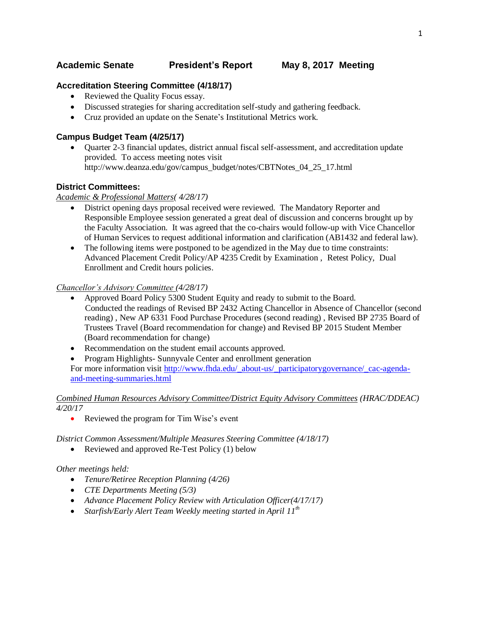# **Academic Senate President's Report May 8, 2017 Meeting**

### **Accreditation Steering Committee (4/18/17)**

- Reviewed the Quality Focus essay.
- Discussed strategies for sharing accreditation self-study and gathering feedback.
- Cruz provided an update on the Senate's Institutional Metrics work.

### **Campus Budget Team (4/25/17)**

 Quarter 2-3 financial updates, district annual fiscal self-assessment, and accreditation update provided. To access meeting notes visit http://www.deanza.edu/gov/campus\_budget/notes/CBTNotes\_04\_25\_17.html

### **District Committees:**

### *Academic & Professional Matters( 4/28/17)*

- District opening days proposal received were reviewed. The Mandatory Reporter and Responsible Employee session generated a great deal of discussion and concerns brought up by the Faculty Association. It was agreed that the co-chairs would follow-up with Vice Chancellor of Human Services to request additional information and clarification (AB1432 and federal law).
- The following items were postponed to be agendized in the May due to time constraints: Advanced Placement Credit Policy/AP 4235 Credit by Examination , Retest Policy, Dual Enrollment and Credit hours policies.

#### *Chancellor's Advisory Committee (4/28/17)*

- Approved Board Policy 5300 Student Equity and ready to submit to the Board. Conducted the readings of Revised BP 2432 Acting Chancellor in Absence of Chancellor (second reading) , New AP 6331 Food Purchase Procedures (second reading) , Revised BP 2735 Board of Trustees Travel (Board recommendation for change) and Revised BP 2015 Student Member (Board recommendation for change)
- Recommendation on the student email accounts approved.
- Program Highlights- Sunnyvale Center and enrollment generation

For more information visit [http://www.fhda.edu/\\_about-us/\\_participatorygovernance/\\_cac-agenda](http://www.fhda.edu/_about-us/_participatorygovernance/_cac-agenda-and-meeting-summaries.html)[and-meeting-summaries.html](http://www.fhda.edu/_about-us/_participatorygovernance/_cac-agenda-and-meeting-summaries.html)

### *Combined Human Resources Advisory Committee/District Equity Advisory Committees (HRAC/DDEAC) 4/20/17*

• Reviewed the program for Tim Wise's event

*District Common Assessment/Multiple Measures Steering Committee (4/18/17)*

• Reviewed and approved Re-Test Policy (1) below

### *Other meetings held:*

- *Tenure/Retiree Reception Planning (4/26)*
- *CTE Departments Meeting (5/3)*
- *Advance Placement Policy Review with Articulation Officer(4/17/17)*
- *Starfish/Early Alert Team Weekly meeting started in April 11th*